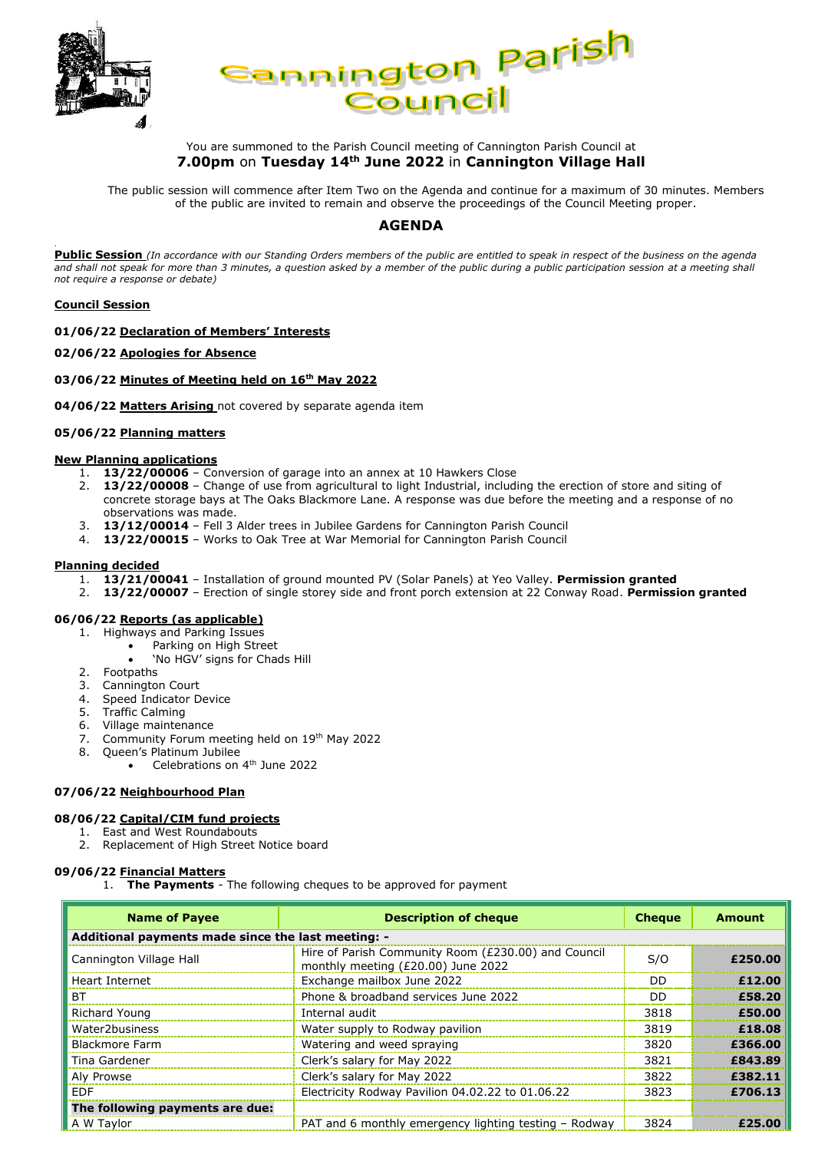



## You are summoned to the Parish Council meeting of Cannington Parish Council at **7.00pm** on **Tuesday 14th June 2022** in **Cannington Village Hall**

The public session will commence after Item Two on the Agenda and continue for a maximum of 30 minutes. Members of the public are invited to remain and observe the proceedings of the Council Meeting proper.

# **AGENDA**

**Public Session** *(In accordance with our Standing Orders members of the public are entitled to speak in respect of the business on the agenda and shall not speak for more than 3 minutes, a question asked by a member of the public during a public participation session at a meeting shall not require a response or debate)*

### **Council Session**

.

**01/06/22 Declaration of Members' Interests**

#### **02/06/22 Apologies for Absence**

#### **03/06/22 Minutes of Meeting held on 16th May 2022**

**04/06/22 Matters Arising** not covered by separate agenda item

### **05/06/22 Planning matters**

#### **New Planning applications**

- 1. **13/22/00006** Conversion of garage into an annex at 10 Hawkers Close
- 2. **13/22/00008** Change of use from agricultural to light Industrial, including the erection of store and siting of concrete storage bays at The Oaks Blackmore Lane. A response was due before the meeting and a response of no observations was made.
- 3. **13/12/00014** Fell 3 Alder trees in Jubilee Gardens for Cannington Parish Council
- 4. **13/22/00015**  Works to Oak Tree at War Memorial for Cannington Parish Council

#### **Planning decided**

- 1. **13/21/00041** Installation of ground mounted PV (Solar Panels) at Yeo Valley. **Permission granted**
- 2. **13/22/00007** Erection of single storey side and front porch extension at 22 Conway Road. **Permission granted**

### **06/06/22 Reports (as applicable)**

- 1. Highways and Parking Issues
	- Parking on High Street
	- 'No HGV' signs for Chads Hill
- 2. Footpaths
- 3. Cannington Court
- 4. Speed Indicator Device
- 5. Traffic Calming
- 6. Village maintenance
- 7. Community Forum meeting held on 19th May 2022
- 8. Queen's Platinum Jubilee
	- Celebrations on 4<sup>th</sup> June 2022

### **07/06/22 Neighbourhood Plan**

### **08/06/22 Capital/CIM fund projects**

# 1. East and West Roundabouts

2. Replacement of High Street Notice board

### **09/06/22 Financial Matters**

1. **The Payments** - The following cheques to be approved for payment

| <b>Name of Payee</b>                               | <b>Description of cheque</b>                                                              | <b>Cheque</b> | <b>Amount</b> |  |
|----------------------------------------------------|-------------------------------------------------------------------------------------------|---------------|---------------|--|
| Additional payments made since the last meeting: - |                                                                                           |               |               |  |
| Cannington Village Hall                            | Hire of Parish Community Room (£230.00) and Council<br>monthly meeting (£20.00) June 2022 | S/O           | £250.00       |  |
| Heart Internet                                     | Exchange mailbox June 2022                                                                | DD            | £12.00        |  |
| BT.                                                | Phone & broadband services June 2022                                                      | DD            | £58.20        |  |
| Richard Young                                      | Internal audit                                                                            | 3818          | £50.00        |  |
| Water2business                                     | Water supply to Rodway pavilion                                                           | 3819          | £18.08        |  |
| <b>Blackmore Farm</b>                              | Watering and weed spraying                                                                | 3820          | £366.00       |  |
| Tina Gardener                                      | Clerk's salary for May 2022                                                               | 3821          | £843.89       |  |
| Aly Prowse                                         | Clerk's salary for May 2022                                                               | 3822          | £382.11       |  |
| <b>FDF</b>                                         | Electricity Rodway Pavilion 04.02.22 to 01.06.22                                          | 3823          | £706.13       |  |
| The following payments are due:                    |                                                                                           |               |               |  |
| A W Taylor                                         | PAT and 6 monthly emergency lighting testing – Rodway                                     | 3824          | £25.00        |  |